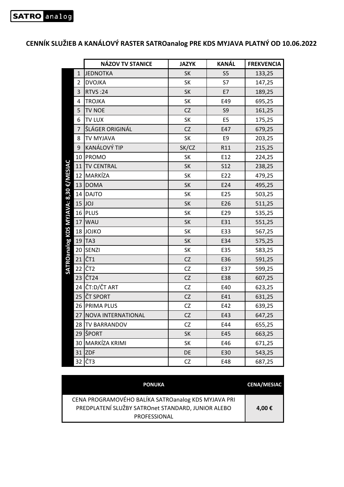## **CENNÍK SLUŽIEB A KANÁLOVÝ RASTER SATROanalog PRE KDS MYJAVA PLATNÝ OD 10.06.2022**

|                                    | <b>NÁZOV TV STANICE</b> | <b>JAZYK</b> | <b>KANÁL</b>   | <b>FREKVENCIA</b> |
|------------------------------------|-------------------------|--------------|----------------|-------------------|
| $\mathbf{1}$                       | <b>JEDNOTKA</b>         | SK           | S <sub>5</sub> | 133,25            |
| 2                                  | <b>DVOJKA</b>           | SK           | S7             | 147,25            |
| 3                                  | <b>RTVS:24</b>          | SK           | E7             | 189,25            |
| 4                                  | <b>TROJKA</b>           | SK           | E49            | 695,25            |
| 5                                  | TV NOE                  | <b>CZ</b>    | S9             | 161,25            |
| 6                                  | <b>TV LUX</b>           | SK           | E <sub>5</sub> | 175,25            |
| $\overline{7}$                     | ŠLÁGER ORIGINÁL         | CZ           | E47            | 679,25            |
| 8                                  | TV MYJAVA               | SK           | E9             | 203,25            |
| 9                                  | KANÁLOVÝ TIP            | SK/CZ        | R11            | 215,25            |
| 10                                 | <b>PROMO</b>            | SK           | E12            | 224,25            |
| <b>MYJAVA: 8,30 €/MESIAC</b><br>11 | <b>TV CENTRAL</b>       | SK           | <b>S12</b>     | 238,25            |
| 12                                 | MARKÍZA                 | SK           | E22            | 479,25            |
| 13                                 | <b>DOMA</b>             | SK           | E24            | 495,25            |
|                                    | 14 DAJTO                | SK           | E25            | 503,25            |
|                                    | $15$ JOJ                | SK           | E26            | 511,25            |
|                                    | 16 PLUS                 | SK           | E29            | 535,25            |
| 17                                 | <b>WAU</b>              | <b>SK</b>    | E31            | 551,25            |
| 18                                 | <b>JOJKO</b>            | SK           | E33            | 567,25            |
| <b>SATROanalog KDS</b><br>19       | TA <sub>3</sub>         | SK           | E34            | 575,25            |
|                                    | 20 SENZI                | SK           | E35            | 583,25            |
| 21                                 | ČT1                     | <b>CZ</b>    | E36            | 591,25            |
| 22                                 | ČT <sub>2</sub>         | CZ           | E37            | 599,25            |
| 23                                 | ČT <sub>24</sub>        | <b>CZ</b>    | E38            | 607,25            |
| 24                                 | ČT:D/ČT ART             | CZ           | E40            | 623,25            |
| 25                                 | ČT SPORT                | CZ           | E41            | 631,25            |
|                                    | 26 PRIMA PLUS           | CZ           | E42            | 639,25            |
|                                    | 27 NOVA INTERNATIONAL   | CZ.          | E43            | 647,25            |
|                                    | 28 TV BARRANDOV         | <b>CZ</b>    | E44            | 655,25            |
|                                    | 29 ŠPORT                | SK           | E45            | 663,25            |
|                                    | 30 MARKÍZA KRIMI        | SK           | E46            | 671,25            |
|                                    | $31$ ZDF                | DE           | E30            | 543,25            |
|                                    | 32 ČT3                  | CZ           | E48            | 687,25            |

| <b>PONUKA</b>                                                                                             | <b>CENA/MESIAC</b> |
|-----------------------------------------------------------------------------------------------------------|--------------------|
| CENA PROGRAMOVÉHO BALÍKA SATROanalog KDS MYJAVA PRI<br>PREDPLATENÍ SLUŽBY SATROnet STANDARD, JUNIOR ALEBO | 4,00€              |
| <b>PROFESSIONAL</b>                                                                                       |                    |